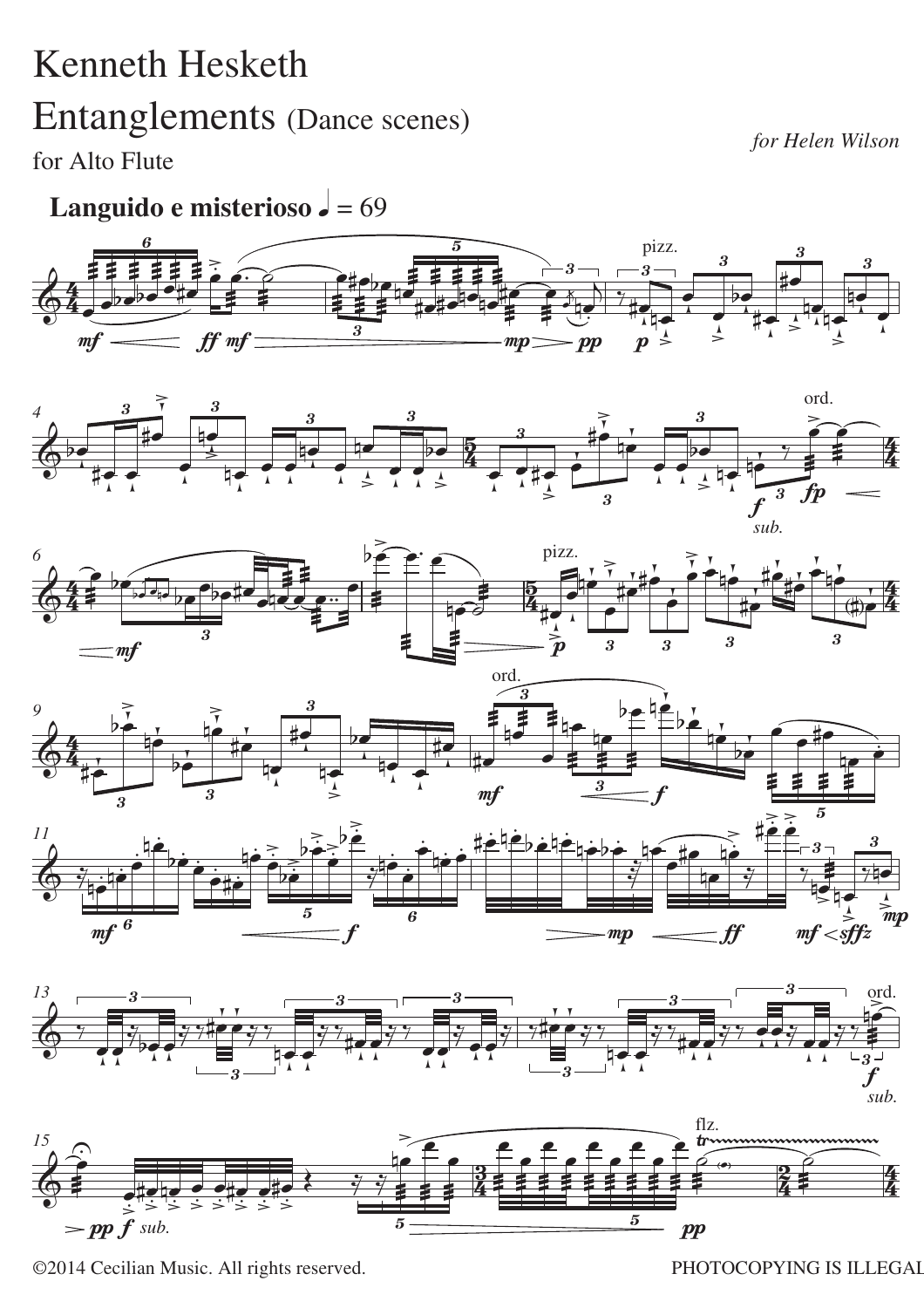## Kenneth Hesketh Entanglements (Dance scenes)

*for Helen Wilson*

for Alto Flute

## **Languido e misterioso**  $\sqrt{ } = 69$















©2014 Cecilian Music. All rights reserved. PHOTOCOPYING IS ILLEGAL!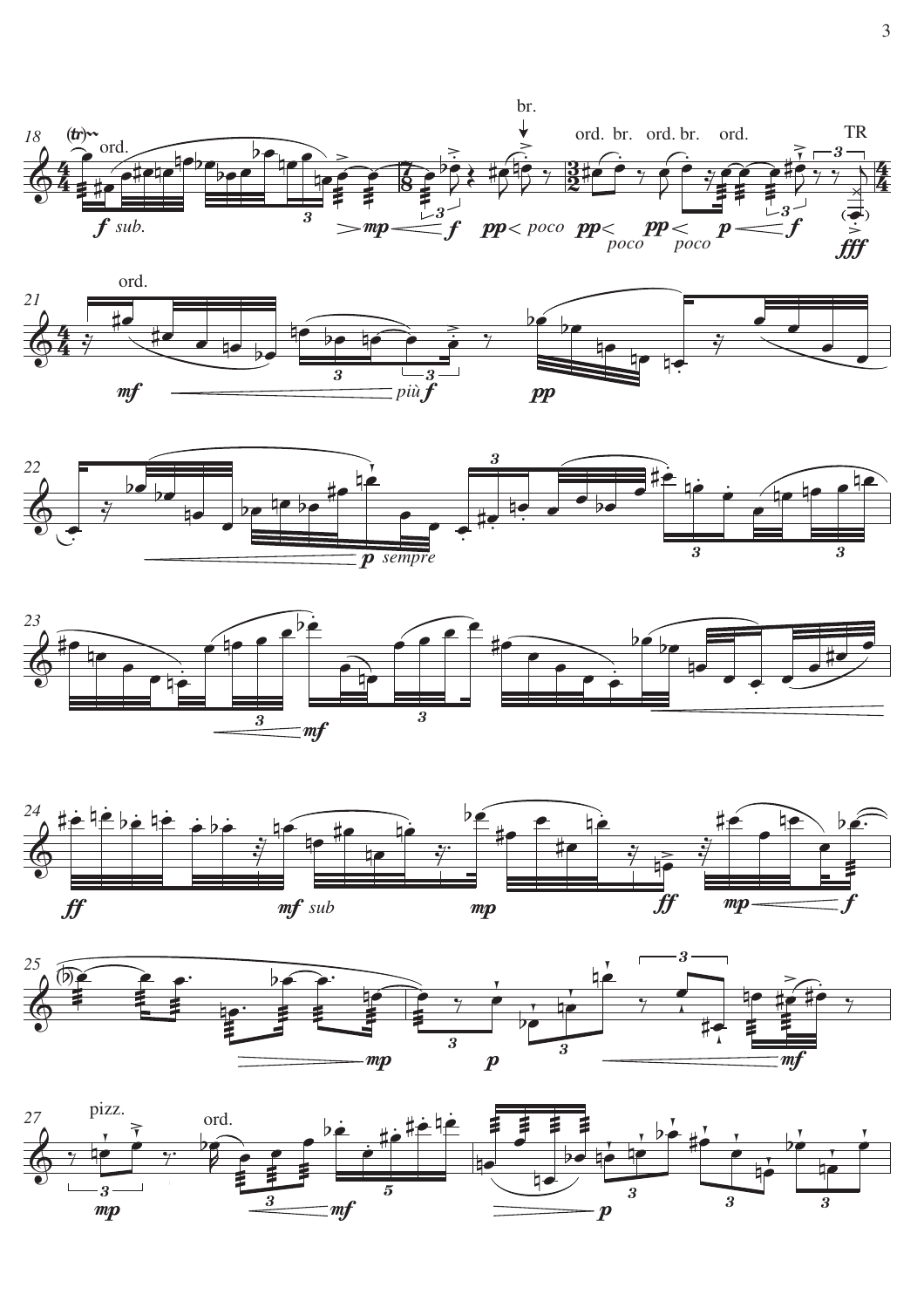











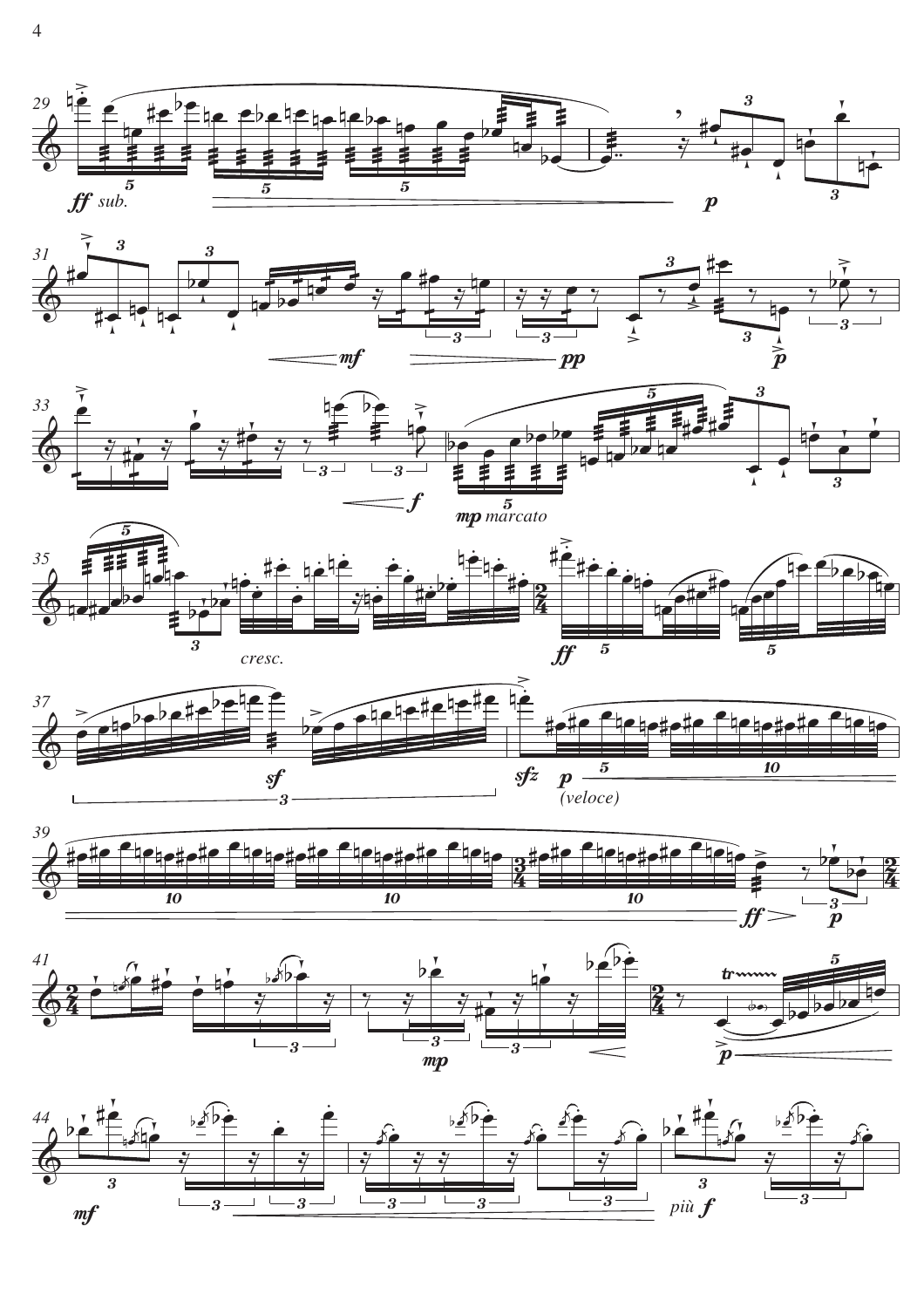













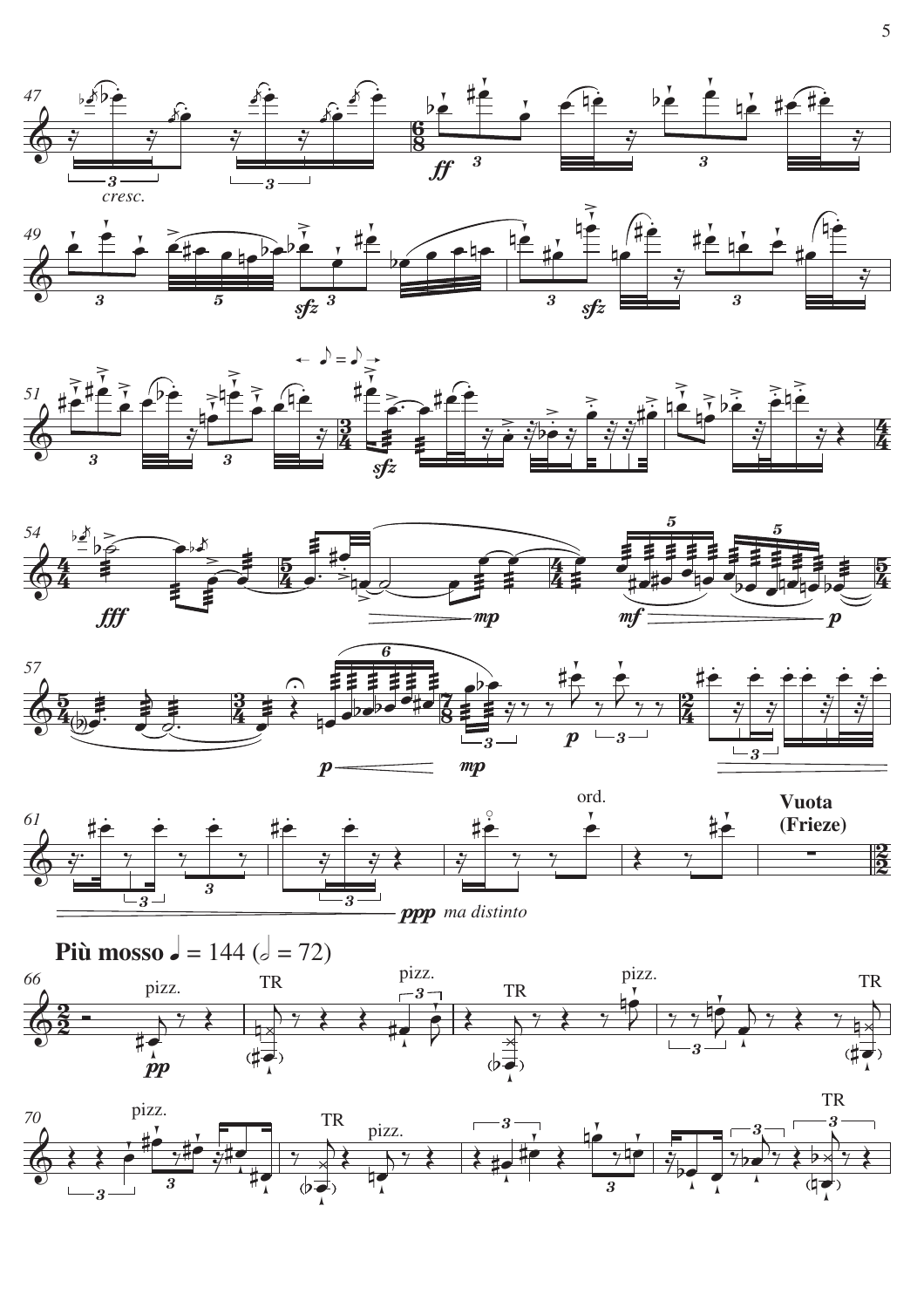